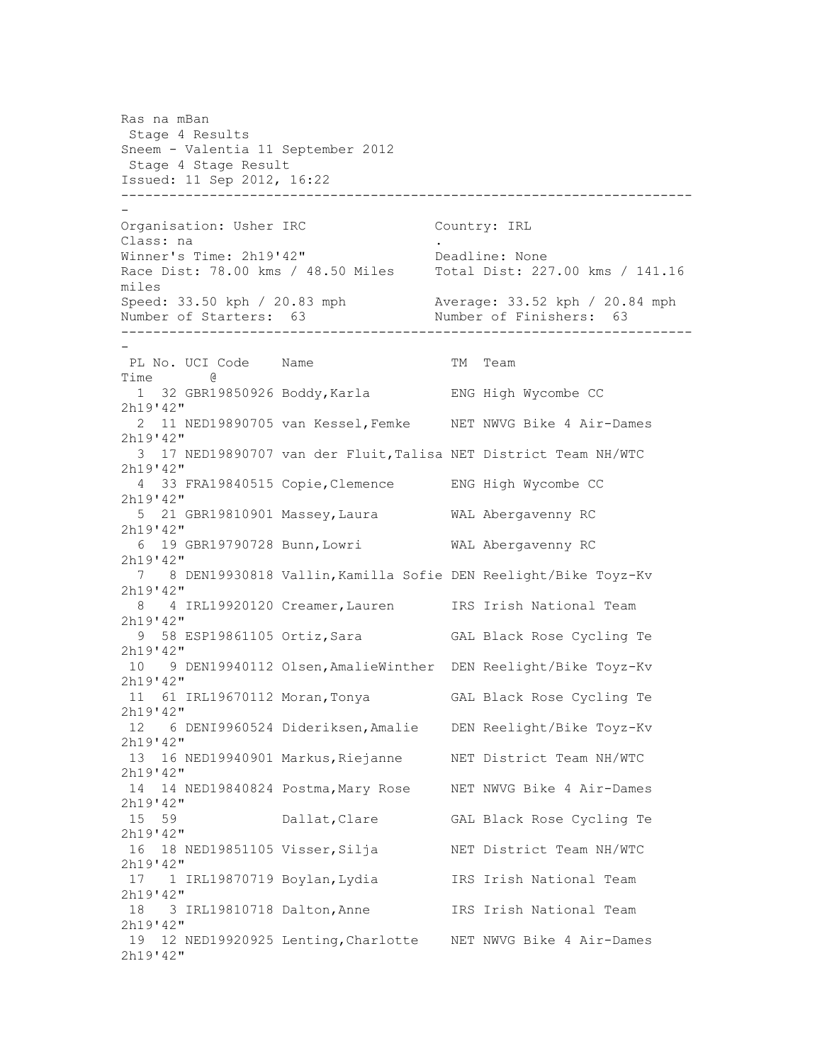Ras na mBan Stage 4 Results Sneem - Valentia 11 September 2012 Stage 4 Stage Result Issued: 11 Sep 2012, 16:22 ----------------------------------------------------------------------- - Organisation: Usher IRC Country: IRL Class: na Winner's Time: 2h19'42" Deadline: None Race Dist: 78.00 kms / 48.50 Miles Total Dist: 227.00 kms / 141.16 miles Speed: 33.50 kph / 20.83 mph Average: 33.52 kph / 20.84 mph<br>Number of Starters: 63 Number of Finishers: 63 Number of Starters: 63 ----------------------------------------------------------------------- - PL No. UCI Code Name TM Team Time @ 1 32 GBR19850926 Boddy,Karla ENG High Wycombe CC 2h19'42" 2 11 NED19890705 van Kessel,Femke NET NWVG Bike 4 Air-Dames 2h19'42" 3 17 NED19890707 van der Fluit,Talisa NET District Team NH/WTC 2h19'42" 4 33 FRA19840515 Copie,Clemence ENG High Wycombe CC 2h19'42" 5 21 GBR19810901 Massey,Laura WAL Abergavenny RC 2h19'42" 6 19 GBR19790728 Bunn,Lowri WAL Abergavenny RC 2h19'42" 7 8 DEN19930818 Vallin,Kamilla Sofie DEN Reelight/Bike Toyz-Kv 2h19'42" 8 4 IRL19920120 Creamer,Lauren IRS Irish National Team 2h19'42" 9 58 ESP19861105 Ortiz,Sara GAL Black Rose Cycling Te 2h19'42" 10 9 DEN19940112 Olsen,AmalieWinther DEN Reelight/Bike Toyz-Kv 2h19'42" 11 61 IRL19670112 Moran,Tonya GAL Black Rose Cycling Te 2h19'42" 12 6 DENI9960524 Dideriksen,Amalie DEN Reelight/Bike Toyz-Kv 2h19'42" 13 16 NED19940901 Markus,Riejanne NET District Team NH/WTC 2h19'42" 14 14 NED19840824 Postma,Mary Rose NET NWVG Bike 4 Air-Dames 2h19'42" 15 59 Dallat,Clare GAL Black Rose Cycling Te 2h19'42" 16 18 NED19851105 Visser, Silja NET District Team NH/WTC 2h19'42" 17 1 IRL19870719 Boylan,Lydia IRS Irish National Team 2h19'42" 18 3 IRL19810718 Dalton,Anne IRS Irish National Team 2h19'42" 19 12 NED19920925 Lenting,Charlotte NET NWVG Bike 4 Air-Dames 2h19'42"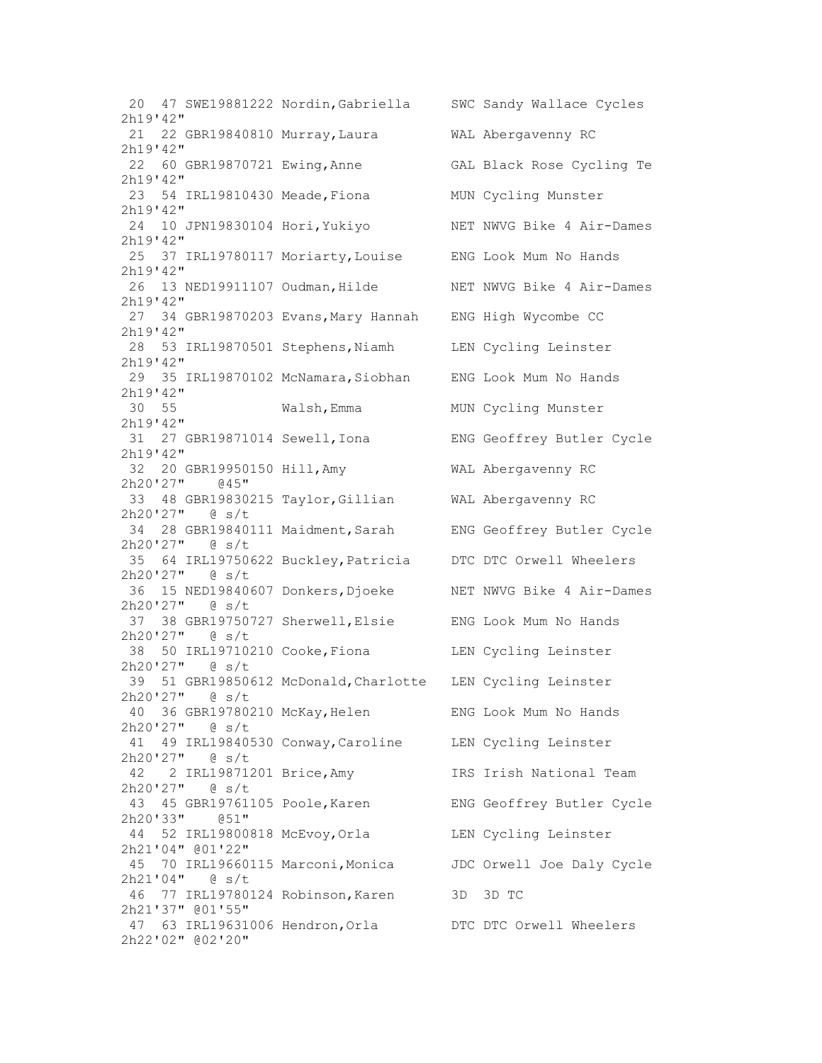20 47 SWE19881222 Nordin,Gabriella SWC Sandy Wallace Cycles 2h19'42" 21 22 GBR19840810 Murray,Laura WAL Abergavenny RC 2h19'42" 22 60 GBR19870721 Ewing,Anne GAL Black Rose Cycling Te 2h19'42" 23 54 IRL19810430 Meade,Fiona MUN Cycling Munster 2h19'42" 24 10 JPN19830104 Hori,Yukiyo NET NWVG Bike 4 Air-Dames 2h19'42" 25 37 IRL19780117 Moriarty,Louise ENG Look Mum No Hands 2h19'42" 26 13 NED19911107 Oudman, Hilde NET NWVG Bike 4 Air-Dames 2h19'42" 27 34 GBR19870203 Evans,Mary Hannah ENG High Wycombe CC 2h19'42" 28 53 IRL19870501 Stephens,Niamh LEN Cycling Leinster 2h19'42" 29 35 IRL19870102 McNamara,Siobhan ENG Look Mum No Hands 2h19'42" 30 55 Walsh,Emma MUN Cycling Munster 2h19'42" 31 27 GBR19871014 Sewell,Iona ENG Geoffrey Butler Cycle 2h19'42" 32 20 GBR19950150 Hill,Amy WAL Abergavenny RC 2h20'27" @45" 33 48 GBR19830215 Taylor,Gillian WAL Abergavenny RC 2h20'27" @ s/t 34 28 GBR19840111 Maidment,Sarah ENG Geoffrey Butler Cycle 2h20'27" @ s/t 35 64 IRL19750622 Buckley,Patricia DTC DTC Orwell Wheelers 2h20'27" @ s/t 36 15 NED19840607 Donkers,Djoeke NET NWVG Bike 4 Air-Dames 2h20'27" @ s/t 37 38 GBR19750727 Sherwell,Elsie ENG Look Mum No Hands 2h20'27" @ s/t 38 50 IRL19710210 Cooke,Fiona LEN Cycling Leinster 2h20'27" @ s/t 39 51 GBR19850612 McDonald,Charlotte LEN Cycling Leinster 2h20'27" @ s/t 40 36 GBR19780210 McKay,Helen ENG Look Mum No Hands 2h20'27" @ s/t 41 49 IRL19840530 Conway,Caroline LEN Cycling Leinster 2h20'27" @ s/t 42 2 IRL19871201 Brice,Amy IRS Irish National Team 2h20'27" @ s/t 43 45 GBR19761105 Poole,Karen ENG Geoffrey Butler Cycle 2h20'33" @51" 44 52 IRL19800818 McEvoy,Orla LEN Cycling Leinster 2h21'04" @01'22" 45 70 IRL19660115 Marconi,Monica JDC Orwell Joe Daly Cycle 2h21'04" @ s/t 46 77 IRL19780124 Robinson,Karen 3D 3D TC 2h21'37" @01'55" 47 63 IRL19631006 Hendron,Orla DTC DTC Orwell Wheelers 2h22'02" @02'20"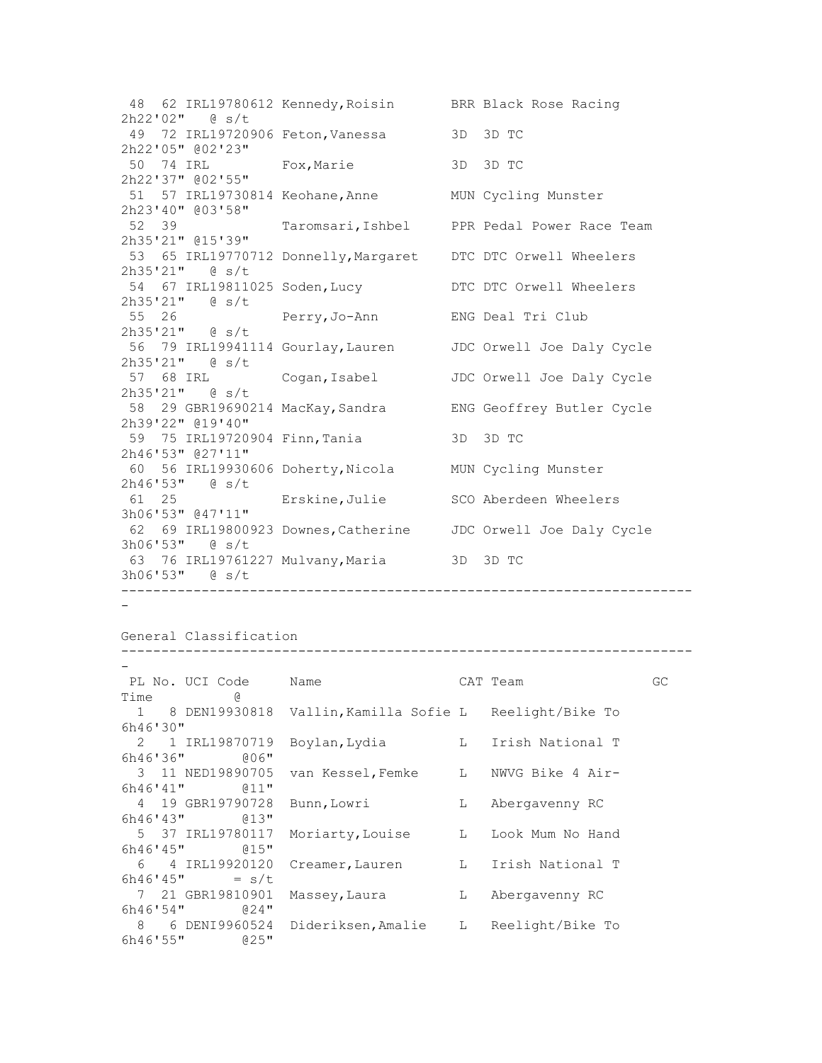48 62 IRL19780612 Kennedy,Roisin BRR Black Rose Racing 2h22'02" @ s/t 49 72 IRL19720906 Feton,Vanessa 3D 3D TC 2h22'05" @02'23" 50 74 IRL Fox,Marie 3D 3D TC 2h22'37" @02'55" 51 57 IRL19730814 Keohane,Anne MUN Cycling Munster 2h23'40" @03'58" Taromsari, Ishbel PPR Pedal Power Race Team 2h35'21" @15'39" 53 65 IRL19770712 Donnelly,Margaret DTC DTC Orwell Wheelers 2h35'21" @ s/t 54 67 IRL19811025 Soden,Lucy DTC DTC Orwell Wheelers 2h35'21" @ s/t 55 26 Perry,Jo-Ann ENG Deal Tri Club 2h35'21" @ s/t 56 79 IRL19941114 Gourlay,Lauren JDC Orwell Joe Daly Cycle 2h35'21" @ s/t 57 68 IRL Cogan,Isabel JDC Orwell Joe Daly Cycle 2h35'21" @ s/t 58 29 GBR19690214 MacKay,Sandra ENG Geoffrey Butler Cycle 2h39'22" @19'40" 59 75 IRL19720904 Finn,Tania 3D 3D TC 2h46'53" @27'11" 60 56 IRL19930606 Doherty,Nicola MUN Cycling Munster 2h46'53" @ s/t 61 25 Erskine,Julie SCO Aberdeen Wheelers 3h06'53" @47'11" 62 69 IRL19800923 Downes,Catherine JDC Orwell Joe Daly Cycle 3h06'53" @ s/t 63 76 IRL19761227 Mulvany,Maria 3D 3D TC 3h06'53" @ s/t -----------------------------------------------------------------------

-

General Classification

| PL No. UCI Code      | Name                                                     |   | CAT Team           | GC |
|----------------------|----------------------------------------------------------|---|--------------------|----|
| Time<br>g.           |                                                          |   |                    |    |
|                      | 1 8 DEN19930818 Vallin, Kamilla Sofie L Reelight/Bike To |   |                    |    |
| 6h46'30''            |                                                          |   |                    |    |
| 2 1 IRL19870719      | Boylan,Lydia                                             |   | L Irish National T |    |
| $6h46'36''$ $006''$  |                                                          |   |                    |    |
|                      | 3 11 NED19890705 van Kessel, Femke L NWVG Bike 4 Air-    |   |                    |    |
| $6h46'41''$ $011''$  |                                                          |   |                    |    |
| 4 19 GBR19790728     | Bunn, Lowri                                              | L | Abergavenny RC     |    |
| $6h46'43''$ $013''$  |                                                          |   |                    |    |
| 5 37 IRL19780117     | Moriarty, Louise L                                       |   | Look Mum No Hand   |    |
| $6h46'45''$ $015''$  |                                                          |   |                    |    |
| 6 4 IRL19920120      | Creamer, Lauren L Irish National T                       |   |                    |    |
| $6h46'45'' = s/t$    |                                                          |   |                    |    |
| 7 21 GBR19810901     | Massey, Laura L                                          |   | Abergavenny RC     |    |
| $6h46'54''$ $024''$  |                                                          |   |                    |    |
|                      | 8 6 DENI9960524 Dideriksen, Amalie L Reelight/Bike To    |   |                    |    |
| 6h46'55''<br>$@25$ " |                                                          |   |                    |    |

-----------------------------------------------------------------------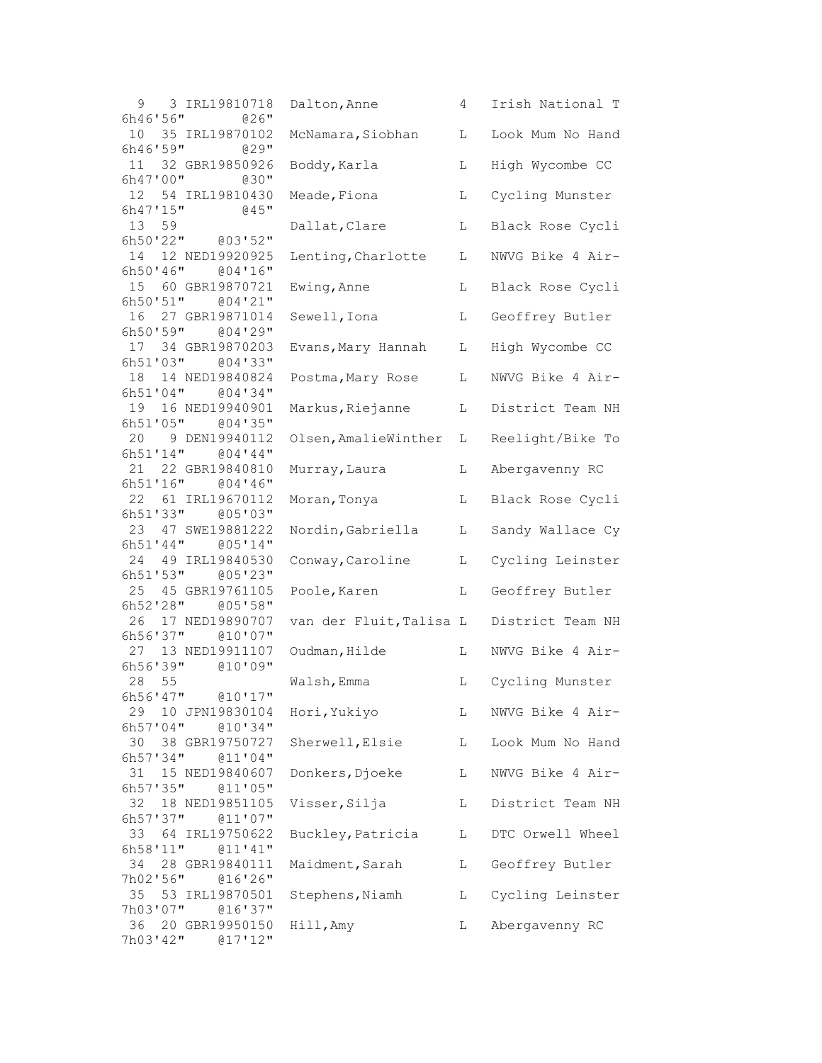| 9<br>3 IRL19810718                            | Dalton, Anne            | 4 | Irish National T |
|-----------------------------------------------|-------------------------|---|------------------|
| 6h46'56"<br>@26"<br>10 35 IRL19870102         | McNamara, Siobhan       | L | Look Mum No Hand |
| 6h46'59''<br>$029$ "                          |                         |   |                  |
| 11<br>32 GBR19850926                          | Boddy, Karla            | L | High Wycombe CC  |
| 6h47'00''<br>$030$ "                          |                         |   |                  |
| 12<br>54 IRL19810430<br>6h47'15''<br>$045$ "  | Meade, Fiona            | L | Cycling Munster  |
| 13 <sup>°</sup><br>59                         | Dallat, Clare           | L | Black Rose Cycli |
| 6h50'22" @03'52"                              |                         |   |                  |
| 12 NED19920925<br>14                          | Lenting, Charlotte      | L | NWVG Bike 4 Air- |
| 6h50'46''<br>004'16''                         |                         |   |                  |
| 15 60 GBR19870721                             | Ewing, Anne             | L | Black Rose Cycli |
| 6h50'51''<br>004'21''<br>16<br>27 GBR19871014 | Sewell, Iona            | L | Geoffrey Butler  |
| 6h50'59"<br>004'29''                          |                         |   |                  |
| 17<br>34 GBR19870203                          | Evans, Mary Hannah      | L | High Wycombe CC  |
| 6h51'03"<br>@04'33"                           |                         |   |                  |
| 14 NED19840824<br>18                          | Postma, Mary Rose       | L | NWVG Bike 4 Air- |
| 6h51'04"<br>004'34''                          |                         |   |                  |
| 19  16 NED19940901                            | Markus, Riejanne        | L | District Team NH |
| 6h51'05''<br>@04'35"                          |                         |   |                  |
| 20<br>9 DEN19940112<br>6h51'14"<br>$004'$ 44" | Olsen, AmalieWinther    | L | Reelight/Bike To |
| 21 22 GBR19840810                             | Murray, Laura           | L | Abergavenny RC   |
| 6h51'16''<br>004'36''                         |                         |   |                  |
| 22<br>61 IRL19670112                          | Moran, Tonya            | L | Black Rose Cycli |
| 6h51'33"<br>@05'03"                           |                         |   |                  |
| 23<br>47 SWE19881222                          | Nordin, Gabriella       | L | Sandy Wallace Cy |
| 6h51'44"<br>005'14"                           |                         |   |                  |
| 24<br>49 IRL19840530<br>6h51'53''<br>@05'23"  | Conway, Caroline        | L | Cycling Leinster |
| 25<br>45 GBR19761105                          | Poole, Karen            | L | Geoffrey Butler  |
| 6h52'28"<br>@05'58"                           |                         |   |                  |
| 26<br>17 NED19890707                          | van der Fluit, Talisa L |   | District Team NH |
| 6h56'37"<br>@10'07"                           |                         |   |                  |
| 13 NED19911107<br>27                          | Oudman, Hilde           | L | NWVG Bike 4 Air- |
| 6h56'39"<br>@10'09"                           |                         |   |                  |
| 28 55<br>6h56'47''<br>@10'17"                 | Walsh, Emma             | L | Cycling Munster  |
| 29<br>10 JPN19830104                          | Hori, Yukiyo            | L | NWVG Bike 4 Air- |
| 6h57'04''<br>@10'34"                          |                         |   |                  |
| 30<br>38 GBR19750727                          | Sherwell, Elsie         | L | Look Mum No Hand |
| 6h57'34"<br>@11'04"                           |                         |   |                  |
| 31<br>15 NED19840607                          | Donkers, Djoeke         | L | NWVG Bike 4 Air- |
| 6h57'35''<br>@11'05"                          |                         |   |                  |
| 32<br>18 NED19851105                          | Visser, Silja           | L | District Team NH |
| 6h57'37''<br>011'07''<br>33<br>64 IRL19750622 | Buckley, Patricia       | L | DTC Orwell Wheel |
| 6h58'11"<br>@11'41"                           |                         |   |                  |
| 34<br>28 GBR19840111                          | Maidment, Sarah         | L | Geoffrey Butler  |
| 7h02'56"<br>016'26''                          |                         |   |                  |
| 35<br>53 IRL19870501                          | Stephens, Niamh         | L | Cycling Leinster |
| 7h03'07"<br>016'37''                          |                         |   |                  |
| 36<br>20 GBR19950150                          | Hill, Amy               | L | Abergavenny RC   |
| 7h03'42"<br>@17'12"                           |                         |   |                  |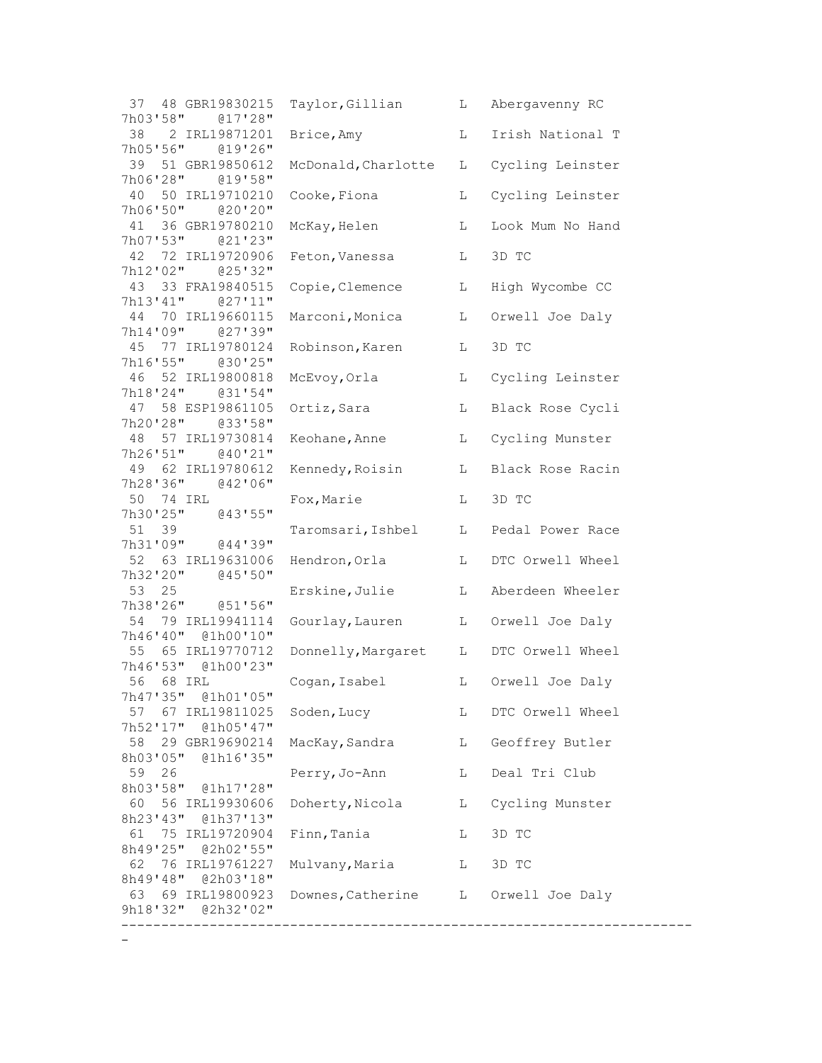| 37 48 GBR19830215<br>7h03'58"<br>@17'28"   | Taylor, Gillian                     | L           | Abergavenny RC    |
|--------------------------------------------|-------------------------------------|-------------|-------------------|
| 38 2 IRL19871201<br>7h05'56" @19'26"       | Brice, Amy                          | L           | Irish National T  |
| 39<br>51 GBR19850612<br>7h06'28" @19'58"   | McDonald, Charlotte                 | L           | Cycling Leinster  |
| 50 IRL19710210<br>40<br>7h06'50" @20'20"   | Cooke, Fiona                        | L           | Cycling Leinster  |
| 41 36 GBR19780210<br>7h07'53" @21'23"      | McKay, Helen                        | L           | Look Mum No Hand  |
| 42 72 IRL19720906<br>7h12'02" @25'32"      | Feton, Vanessa                      | L           | 3D TC             |
| 43 33 FRA19840515<br>7h13'41" @27'11"      | Copie, Clemence                     | L           | High Wycombe CC   |
| 44 70 IRL19660115<br>7h14'09"<br>@27'39"   | Marconi, Monica                     | L           | Orwell Joe Daly   |
| 45<br>77 IRL19780124<br>7h16'55" @30'25"   | Robinson, Karen                     | L           | 3D TC             |
| 46 52 IRL19800818<br>7h18'24"<br>@31'54"   | McEvoy, Orla                        | L           | Cycling Leinster  |
| 47 58 ESP19861105<br>7h20'28" @33'58"      | Ortiz, Sara                         | L           | Black Rose Cycli  |
| 48 57 IRL19730814<br>7h26'51" @40'21"      | Keohane, Anne                       | L           | Cycling Munster   |
| 49 62 IRL19780612<br>7h28'36" @42'06"      | Kennedy, Roisin                     | $\mathbb L$ | Black Rose Racin  |
| 50 74 IRL<br>7h30'25" @43'55"              | Fox, Marie                          | L           | 3D TC             |
| 51 39<br>7h31'09" @44'39"                  | Taromsari, Ishbel                   | L           | Pedal Power Race  |
| 52 63 IRL19631006<br>7h32'20" @45'50"      | Hendron, Orla                       | L           | DTC Orwell Wheel  |
| 53<br>25<br>7h38'26" @51'56"               | Erskine, Julie                      | L           | Aberdeen Wheeler  |
| 54<br>79 IRL19941114<br>7h46'40" @1h00'10" | Gourlay, Lauren                     | L           | Orwell Joe Daly   |
| 55 65 IRL19770712<br>7h46'53" @1h00'23"    | Donnelly, Margaret                  | L           | DTC Orwell Wheel  |
| 56 68 IRL<br>7h47'35" @1h01'05"            | Cogan, Isabel                       |             | L Orwell Joe Daly |
| 57 67 IRL19811025<br>7h52'17" @1h05'47"    | Soden, Lucy                         | L           | DTC Orwell Wheel  |
| 58<br>29 GBR19690214<br>8h03'05" @1h16'35" | MacKay, Sandra                      | L           | Geoffrey Butler   |
| 59<br>26<br>8h03'58" @1h17'28"             | Perry, Jo-Ann                       | L           | Deal Tri Club     |
| 60 56 IRL19930606<br>8h23'43" @1h37'13"    | Doherty, Nicola                     | L           | Cycling Munster   |
| 61 75 IRL19720904<br>8h49'25" @2h02'55"    | Finn, Tania                         | L           | 3D TC             |
| 62 76 IRL19761227<br>8h49'48" @2h03'18"    | Mulvany, Maria                      | L           | 3D TC             |
| 63 69 IRL19800923<br>9h18'32"<br>@2h32'02" | Downes, Catherine L Orwell Joe Daly |             |                   |
|                                            |                                     |             |                   |

 $\sim$   $\sim$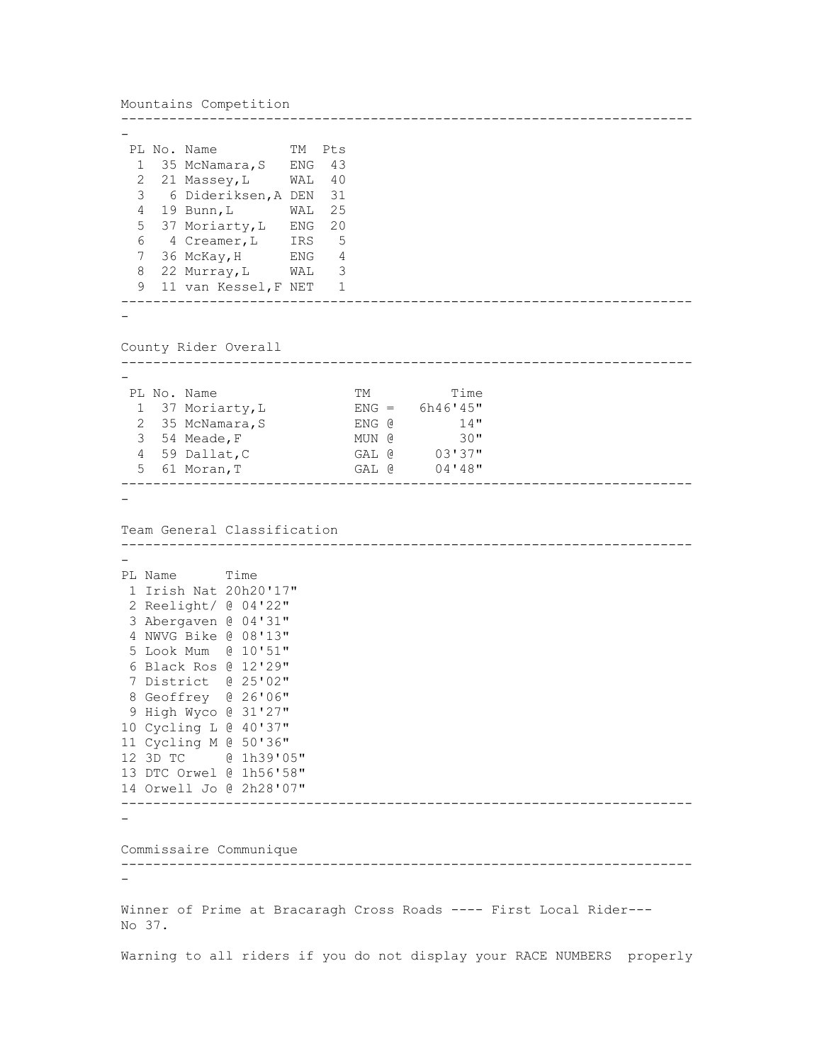```
Mountains Competition
-----------------------------------------------------------------------
-
 PL No. Name TM Pts
 1 35 McNamara, S ENG 43
   2 21 Massey,L WAL 40 
   3 6 Dideriksen,A DEN 31 
   4 19 Bunn,L WAL 25 
   5 37 Moriarty,L ENG 20 
  \frac{1}{2}, \frac{1}{2}, \frac{1}{2}, \frac{1}{2}, \frac{1}{2}, \frac{1}{2}, \frac{1}{2}, \frac{1}{2}, \frac{1}{2}, \frac{1}{2}, \frac{1}{2}, \frac{1}{2}, \frac{1}{2}, \frac{1}{2}, \frac{1}{2}, \frac{1}{2}, \frac{1}{2}, \frac{1}{2}, \frac{1}{2}, \frac{1}{2}, 7 36 McKay, H ENG 4<br>8 22 Murray, L WAL 3
  8 22 Murray, L WAL
   9 11 van Kessel,F NET 1 
-----------------------------------------------------------------------
-
County Rider Overall
-----------------------------------------------------------------------
-
 PL No. Name TM TM Time
  1 37 Moriarty, L ENG = 6h46'45'' 2 35 McNamara,S ENG @ 14" 
  3 54 Meade, F MUN @ 30"<br>4 59 Dallat, C GAL @ 03'37"
 4 59 Dallat,C GAL @ 03'37" 
 5 61 Moran,T GAL @ 04'48" 
-----------------------------------------------------------------------
-
Team General Classification
-----------------------------------------------------------------------
-
PL Name Time
1 Irish Nat 20h20'17" 
 2 Reelight/ @ 04'22" 
 3 Abergaven @ 04'31" 
 4 NWVG Bike @ 08'13" 
 5 Look Mum @ 10'51" 
 6 Black Ros @ 12'29" 
 7 District @ 25'02" 
8 Geoffrey @ 26'06" 
9 High Wyco @ 31'27" 
10 Cycling L @ 40'37" 
11 Cycling M @ 50'36" 
12 3D TC @ 1h39'05" 
13 DTC Orwel @ 1h56'58" 
14 Orwell Jo @ 2h28'07" 
-----------------------------------------------------------------------
-
Commissaire Communique
-----------------------------------------------------------------------
-
Winner of Prime at Bracaragh Cross Roads ---- First Local Rider---
No 37.
Warning to all riders if you do not display your RACE NUMBERS properly
```